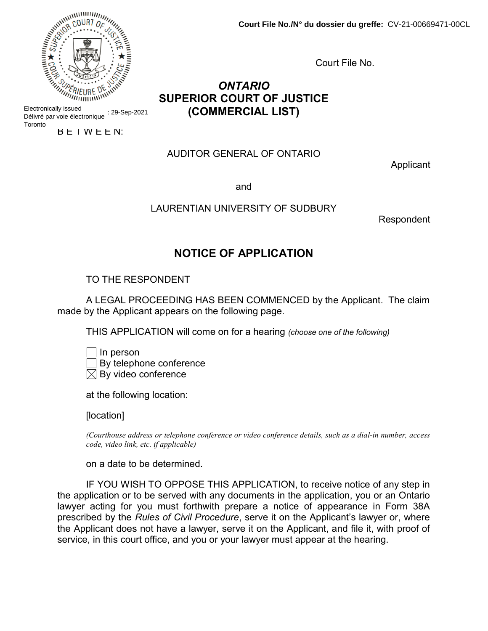Court File No.

# ONTARIO SUPERIOR COURT OF JUSTICE (COMMERCIAL LIST)

## AUDITOR GENERAL OF ONTARIO

Applicant

and

### LAURENTIAN UNIVERSITY OF SUDBURY

Respondent

# NOTICE OF APPLICATION

# TO THE RESPONDENT

A LEGAL PROCEEDING HAS BEEN COMMENCED by the Applicant. The claim made by the Applicant appears on the following page.

THIS APPLICATION will come on for a hearing (choose one of the following)

| $\Box$ In person                |
|---------------------------------|
| $\Box$ By telephone conference  |
| $\boxtimes$ By video conference |

at the following location:

[location]

(Courthouse address or telephone conference or video conference details, such as a dial-in number, access code, video link, etc. if applicable)

on a date to be determined.

IF YOU WISH TO OPPOSE THIS APPLICATION, to receive notice of any step in the application or to be served with any documents in the application, you or an Ontario lawyer acting for you must forthwith prepare a notice of appearance in Form 38A prescribed by the Rules of Civil Procedure, serve it on the Applicant's lawyer or, where the Applicant does not have a lawyer, serve it on the Applicant, and file it, with proof of service, in this court office, and you or your lawyer must appear at the hearing.



Electronically issued Délivré par voie électronique : 29-Sep-2021 **Toronto** 

B E T W E E N: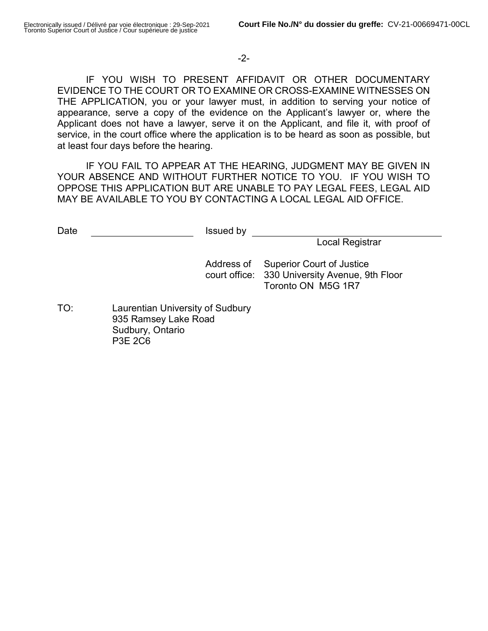# -2-

IF YOU WISH TO PRESENT AFFIDAVIT OR OTHER DOCUMENTARY EVIDENCE TO THE COURT OR TO EXAMINE OR CROSS-EXAMINE WITNESSES ON THE APPLICATION, you or your lawyer must, in addition to serving your notice of appearance, serve a copy of the evidence on the Applicant's lawyer or, where the Applicant does not have a lawyer, serve it on the Applicant, and file it, with proof of service, in the court office where the application is to be heard as soon as possible, but at least four days before the hearing.

IF YOU FAIL TO APPEAR AT THE HEARING, JUDGMENT MAY BE GIVEN IN YOUR ABSENCE AND WITHOUT FURTHER NOTICE TO YOU. IF YOU WISH TO OPPOSE THIS APPLICATION BUT ARE UNABLE TO PAY LEGAL FEES, LEGAL AID MAY BE AVAILABLE TO YOU BY CONTACTING A LOCAL LEGAL AID OFFICE.

| Date | Issued by                                                                               |                                                                                                          |
|------|-----------------------------------------------------------------------------------------|----------------------------------------------------------------------------------------------------------|
|      |                                                                                         | Local Registrar                                                                                          |
|      | Address of                                                                              | <b>Superior Court of Justice</b><br>court office: 330 University Avenue, 9th Floor<br>Toronto ON M5G 1R7 |
| TO:  | Laurentian University of Sudbury<br>935 Ramsey Lake Road<br>Sudbury, Ontario<br>P3F 2C6 |                                                                                                          |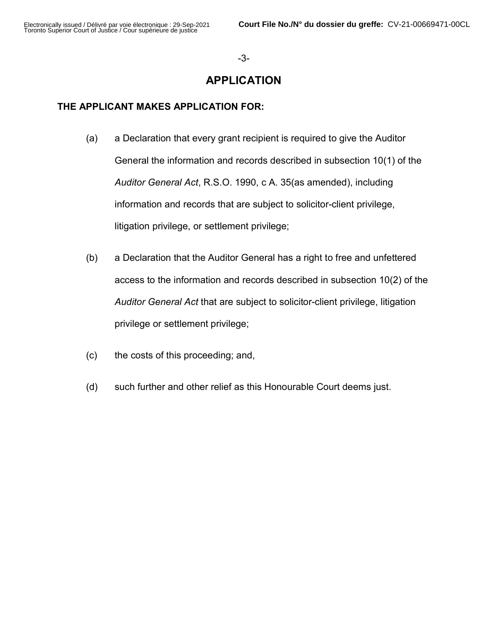#### -3-

# APPLICATION

# THE APPLICANT MAKES APPLICATION FOR:

- (a) a Declaration that every grant recipient is required to give the Auditor General the information and records described in subsection 10(1) of the Auditor General Act, R.S.O. 1990, c A. 35(as amended), including information and records that are subject to solicitor-client privilege, litigation privilege, or settlement privilege;
- (b) a Declaration that the Auditor General has a right to free and unfettered access to the information and records described in subsection 10(2) of the Auditor General Act that are subject to solicitor-client privilege, litigation privilege or settlement privilege;
- (c) the costs of this proceeding; and,
- (d) such further and other relief as this Honourable Court deems just.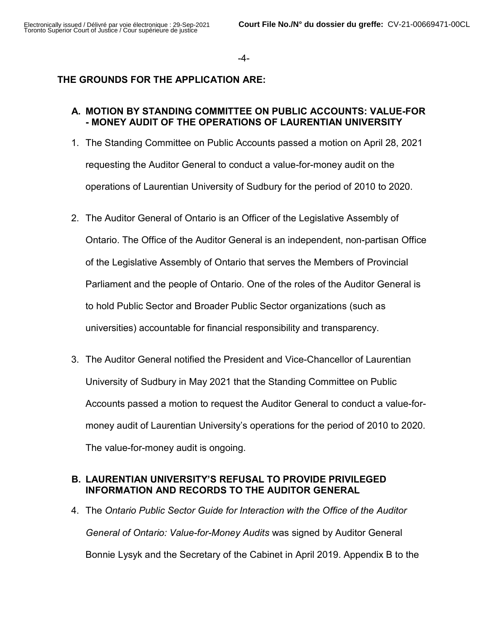-4-

# THE GROUNDS FOR THE APPLICATION ARE:

## A. MOTION BY STANDING COMMITTEE ON PUBLIC ACCOUNTS: VALUE-FOR - MONEY AUDIT OF THE OPERATIONS OF LAURENTIAN UNIVERSITY

- 1. The Standing Committee on Public Accounts passed a motion on April 28, 2021 requesting the Auditor General to conduct a value-for-money audit on the operations of Laurentian University of Sudbury for the period of 2010 to 2020.
- 2. The Auditor General of Ontario is an Officer of the Legislative Assembly of Ontario. The Office of the Auditor General is an independent, non-partisan Office of the Legislative Assembly of Ontario that serves the Members of Provincial Parliament and the people of Ontario. One of the roles of the Auditor General is to hold Public Sector and Broader Public Sector organizations (such as universities) accountable for financial responsibility and transparency.
- 3. The Auditor General notified the President and Vice-Chancellor of Laurentian University of Sudbury in May 2021 that the Standing Committee on Public Accounts passed a motion to request the Auditor General to conduct a value-formoney audit of Laurentian University's operations for the period of 2010 to 2020. The value-for-money audit is ongoing.

# B. LAURENTIAN UNIVERSITY'S REFUSAL TO PROVIDE PRIVILEGED INFORMATION AND RECORDS TO THE AUDITOR GENERAL

4. The Ontario Public Sector Guide for Interaction with the Office of the Auditor General of Ontario: Value-for-Money Audits was signed by Auditor General Bonnie Lysyk and the Secretary of the Cabinet in April 2019. Appendix B to the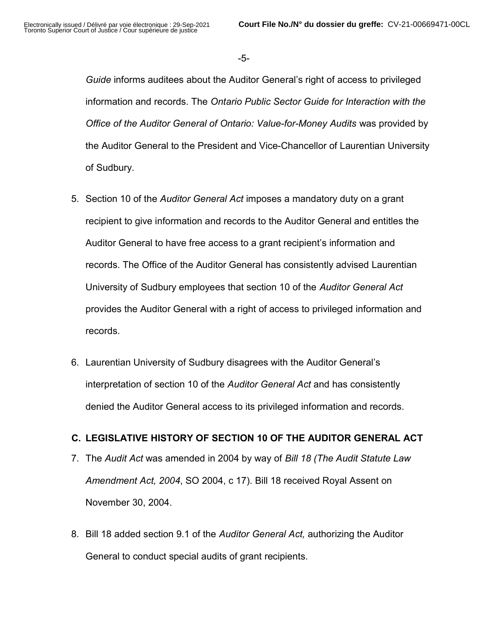-5-

Guide informs auditees about the Auditor General's right of access to privileged information and records. The Ontario Public Sector Guide for Interaction with the Office of the Auditor General of Ontario: Value-for-Money Audits was provided by the Auditor General to the President and Vice-Chancellor of Laurentian University of Sudbury.

- 5. Section 10 of the Auditor General Act imposes a mandatory duty on a grant recipient to give information and records to the Auditor General and entitles the Auditor General to have free access to a grant recipient's information and records. The Office of the Auditor General has consistently advised Laurentian University of Sudbury employees that section 10 of the Auditor General Act provides the Auditor General with a right of access to privileged information and records.
- 6. Laurentian University of Sudbury disagrees with the Auditor General's interpretation of section 10 of the Auditor General Act and has consistently denied the Auditor General access to its privileged information and records.

# C. LEGISLATIVE HISTORY OF SECTION 10 OF THE AUDITOR GENERAL ACT

- 7. The Audit Act was amended in 2004 by way of Bill 18 (The Audit Statute Law Amendment Act, 2004, SO 2004, c 17). Bill 18 received Royal Assent on November 30, 2004.
- 8. Bill 18 added section 9.1 of the Auditor General Act, authorizing the Auditor General to conduct special audits of grant recipients.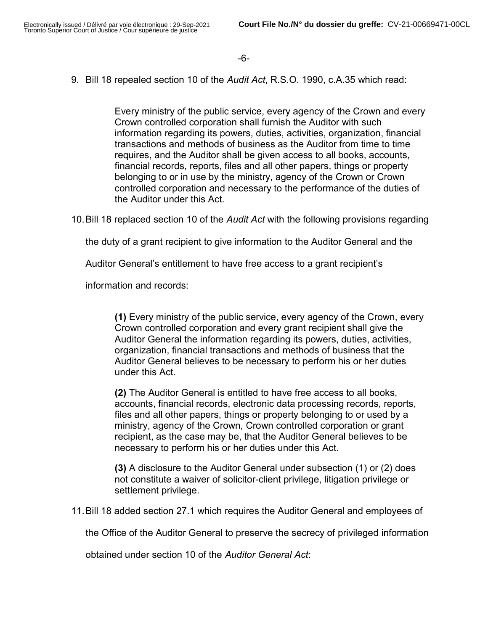9. Bill 18 repealed section 10 of the Audit Act, R.S.O. 1990, c.A.35 which read:

Every ministry of the public service, every agency of the Crown and every Crown controlled corporation shall furnish the Auditor with such information regarding its powers, duties, activities, organization, financial transactions and methods of business as the Auditor from time to time requires, and the Auditor shall be given access to all books, accounts, financial records, reports, files and all other papers, things or property belonging to or in use by the ministry, agency of the Crown or Crown controlled corporation and necessary to the performance of the duties of the Auditor under this Act.

10. Bill 18 replaced section 10 of the *Audit Act* with the following provisions regarding

the duty of a grant recipient to give information to the Auditor General and the

Auditor General's entitlement to have free access to a grant recipient's

information and records:

(1) Every ministry of the public service, every agency of the Crown, every Crown controlled corporation and every grant recipient shall give the Auditor General the information regarding its powers, duties, activities, organization, financial transactions and methods of business that the Auditor General believes to be necessary to perform his or her duties under this Act.

(2) The Auditor General is entitled to have free access to all books, accounts, financial records, electronic data processing records, reports, files and all other papers, things or property belonging to or used by a ministry, agency of the Crown, Crown controlled corporation or grant recipient, as the case may be, that the Auditor General believes to be necessary to perform his or her duties under this Act.

(3) A disclosure to the Auditor General under subsection (1) or (2) does not constitute a waiver of solicitor-client privilege, litigation privilege or settlement privilege.

11. Bill 18 added section 27.1 which requires the Auditor General and employees of

the Office of the Auditor General to preserve the secrecy of privileged information

obtained under section 10 of the Auditor General Act: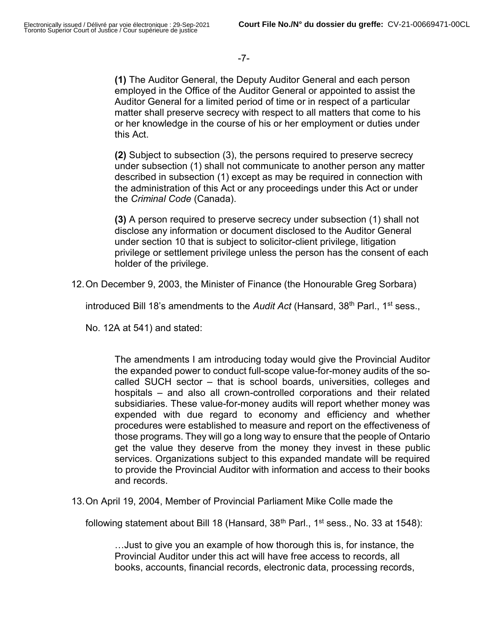(1) The Auditor General, the Deputy Auditor General and each person employed in the Office of the Auditor General or appointed to assist the Auditor General for a limited period of time or in respect of a particular matter shall preserve secrecy with respect to all matters that come to his or her knowledge in the course of his or her employment or duties under this Act.

(2) Subject to subsection (3), the persons required to preserve secrecy under subsection (1) shall not communicate to another person any matter described in subsection (1) except as may be required in connection with the administration of this Act or any proceedings under this Act or under the Criminal Code (Canada).

(3) A person required to preserve secrecy under subsection (1) shall not disclose any information or document disclosed to the Auditor General under section 10 that is subject to solicitor-client privilege, litigation privilege or settlement privilege unless the person has the consent of each holder of the privilege.

12. On December 9, 2003, the Minister of Finance (the Honourable Greg Sorbara)

introduced Bill 18's amendments to the Audit Act (Hansard,  $38<sup>th</sup>$  Parl., 1<sup>st</sup> sess.,

No. 12A at 541) and stated:

The amendments I am introducing today would give the Provincial Auditor the expanded power to conduct full-scope value-for-money audits of the socalled SUCH sector – that is school boards, universities, colleges and hospitals – and also all crown-controlled corporations and their related subsidiaries. These value-for-money audits will report whether money was expended with due regard to economy and efficiency and whether procedures were established to measure and report on the effectiveness of those programs. They will go a long way to ensure that the people of Ontario get the value they deserve from the money they invest in these public services. Organizations subject to this expanded mandate will be required to provide the Provincial Auditor with information and access to their books and records.

13. On April 19, 2004, Member of Provincial Parliament Mike Colle made the

following statement about Bill 18 (Hansard,  $38<sup>th</sup>$  Parl., 1<sup>st</sup> sess., No. 33 at 1548):

…Just to give you an example of how thorough this is, for instance, the Provincial Auditor under this act will have free access to records, all books, accounts, financial records, electronic data, processing records,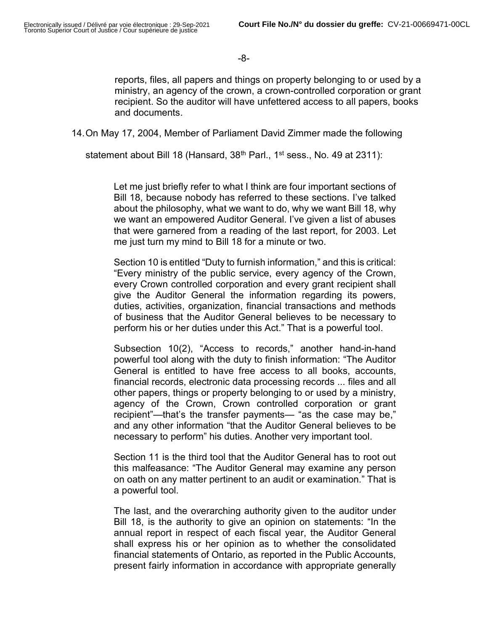-8-

reports, files, all papers and things on property belonging to or used by a ministry, an agency of the crown, a crown-controlled corporation or grant recipient. So the auditor will have unfettered access to all papers, books and documents.

14. On May 17, 2004, Member of Parliament David Zimmer made the following

statement about Bill 18 (Hansard,  $38<sup>th</sup>$  Parl., 1<sup>st</sup> sess., No. 49 at 2311):

Let me just briefly refer to what I think are four important sections of Bill 18, because nobody has referred to these sections. I've talked about the philosophy, what we want to do, why we want Bill 18, why we want an empowered Auditor General. I've given a list of abuses that were garnered from a reading of the last report, for 2003. Let me just turn my mind to Bill 18 for a minute or two.

Section 10 is entitled "Duty to furnish information," and this is critical: "Every ministry of the public service, every agency of the Crown, every Crown controlled corporation and every grant recipient shall give the Auditor General the information regarding its powers, duties, activities, organization, financial transactions and methods of business that the Auditor General believes to be necessary to perform his or her duties under this Act." That is a powerful tool.

Subsection 10(2), "Access to records," another hand-in-hand powerful tool along with the duty to finish information: "The Auditor General is entitled to have free access to all books, accounts, financial records, electronic data processing records ... files and all other papers, things or property belonging to or used by a ministry, agency of the Crown, Crown controlled corporation or grant recipient"—that's the transfer payments— "as the case may be," and any other information "that the Auditor General believes to be necessary to perform" his duties. Another very important tool.

Section 11 is the third tool that the Auditor General has to root out this malfeasance: "The Auditor General may examine any person on oath on any matter pertinent to an audit or examination." That is a powerful tool.

The last, and the overarching authority given to the auditor under Bill 18, is the authority to give an opinion on statements: "In the annual report in respect of each fiscal year, the Auditor General shall express his or her opinion as to whether the consolidated financial statements of Ontario, as reported in the Public Accounts, present fairly information in accordance with appropriate generally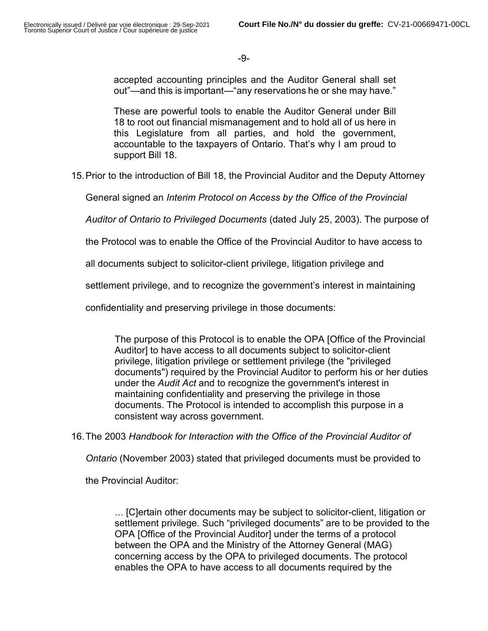accepted accounting principles and the Auditor General shall set out"—and this is important—"any reservations he or she may have."

These are powerful tools to enable the Auditor General under Bill 18 to root out financial mismanagement and to hold all of us here in this Legislature from all parties, and hold the government, accountable to the taxpayers of Ontario. That's why I am proud to support Bill 18.

15. Prior to the introduction of Bill 18, the Provincial Auditor and the Deputy Attorney

General signed an Interim Protocol on Access by the Office of the Provincial

Auditor of Ontario to Privileged Documents (dated July 25, 2003). The purpose of

the Protocol was to enable the Office of the Provincial Auditor to have access to

all documents subject to solicitor-client privilege, litigation privilege and

settlement privilege, and to recognize the government's interest in maintaining

confidentiality and preserving privilege in those documents:

The purpose of this Protocol is to enable the OPA [Office of the Provincial Auditor] to have access to all documents subject to solicitor-client privilege, litigation privilege or settlement privilege (the "privileged documents") required by the Provincial Auditor to perform his or her duties under the Audit Act and to recognize the government's interest in maintaining confidentiality and preserving the privilege in those documents. The Protocol is intended to accomplish this purpose in a consistent way across government.

16. The 2003 Handbook for Interaction with the Office of the Provincial Auditor of

Ontario (November 2003) stated that privileged documents must be provided to

the Provincial Auditor:

… [C]ertain other documents may be subject to solicitor-client, litigation or settlement privilege. Such "privileged documents" are to be provided to the OPA [Office of the Provincial Auditor] under the terms of a protocol between the OPA and the Ministry of the Attorney General (MAG) concerning access by the OPA to privileged documents. The protocol enables the OPA to have access to all documents required by the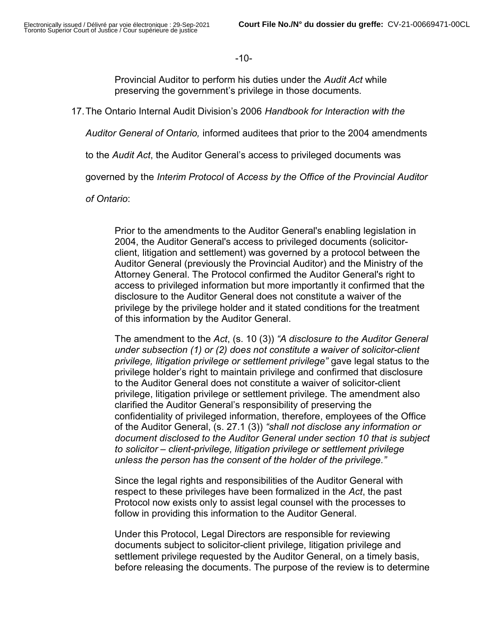#### -10-

Provincial Auditor to perform his duties under the Audit Act while preserving the government's privilege in those documents.

17. The Ontario Internal Audit Division's 2006 Handbook for Interaction with the

Auditor General of Ontario, informed auditees that prior to the 2004 amendments

to the Audit Act, the Auditor General's access to privileged documents was

governed by the Interim Protocol of Access by the Office of the Provincial Auditor

of Ontario:

Prior to the amendments to the Auditor General's enabling legislation in 2004, the Auditor General's access to privileged documents (solicitorclient, litigation and settlement) was governed by a protocol between the Auditor General (previously the Provincial Auditor) and the Ministry of the Attorney General. The Protocol confirmed the Auditor General's right to access to privileged information but more importantly it confirmed that the disclosure to the Auditor General does not constitute a waiver of the privilege by the privilege holder and it stated conditions for the treatment of this information by the Auditor General.

The amendment to the Act, (s. 10 (3)) "A disclosure to the Auditor General under subsection (1) or (2) does not constitute a waiver of solicitor-client privilege, litigation privilege or settlement privilege" gave legal status to the privilege holder's right to maintain privilege and confirmed that disclosure to the Auditor General does not constitute a waiver of solicitor-client privilege, litigation privilege or settlement privilege. The amendment also clarified the Auditor General's responsibility of preserving the confidentiality of privileged information, therefore, employees of the Office of the Auditor General, (s. 27.1 (3)) "shall not disclose any information or document disclosed to the Auditor General under section 10 that is subject to solicitor – client-privilege, litigation privilege or settlement privilege unless the person has the consent of the holder of the privilege."

Since the legal rights and responsibilities of the Auditor General with respect to these privileges have been formalized in the Act, the past Protocol now exists only to assist legal counsel with the processes to follow in providing this information to the Auditor General.

Under this Protocol, Legal Directors are responsible for reviewing documents subject to solicitor-client privilege, litigation privilege and settlement privilege requested by the Auditor General, on a timely basis, before releasing the documents. The purpose of the review is to determine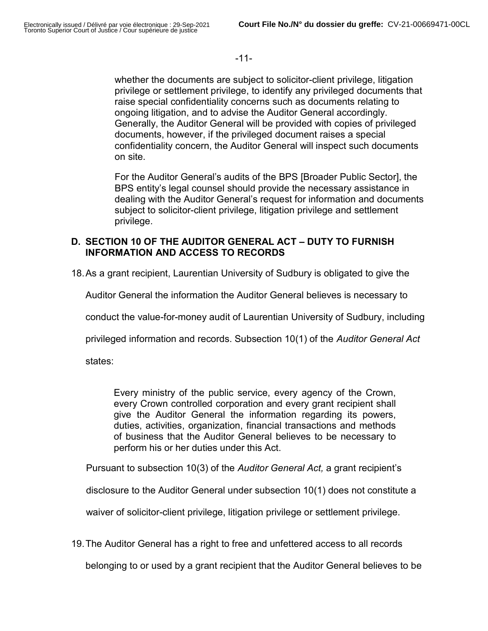-11-

whether the documents are subject to solicitor-client privilege, litigation privilege or settlement privilege, to identify any privileged documents that raise special confidentiality concerns such as documents relating to ongoing litigation, and to advise the Auditor General accordingly. Generally, the Auditor General will be provided with copies of privileged documents, however, if the privileged document raises a special confidentiality concern, the Auditor General will inspect such documents on site.

For the Auditor General's audits of the BPS [Broader Public Sector], the BPS entity's legal counsel should provide the necessary assistance in dealing with the Auditor General's request for information and documents subject to solicitor-client privilege, litigation privilege and settlement privilege.

# D. SECTION 10 OF THE AUDITOR GENERAL ACT – DUTY TO FURNISH INFORMATION AND ACCESS TO RECORDS

18. As a grant recipient, Laurentian University of Sudbury is obligated to give the

Auditor General the information the Auditor General believes is necessary to

conduct the value-for-money audit of Laurentian University of Sudbury, including

privileged information and records. Subsection 10(1) of the Auditor General Act

states:

Every ministry of the public service, every agency of the Crown, every Crown controlled corporation and every grant recipient shall give the Auditor General the information regarding its powers, duties, activities, organization, financial transactions and methods of business that the Auditor General believes to be necessary to perform his or her duties under this Act.

Pursuant to subsection 10(3) of the Auditor General Act, a grant recipient's

disclosure to the Auditor General under subsection 10(1) does not constitute a

waiver of solicitor-client privilege, litigation privilege or settlement privilege.

19. The Auditor General has a right to free and unfettered access to all records

belonging to or used by a grant recipient that the Auditor General believes to be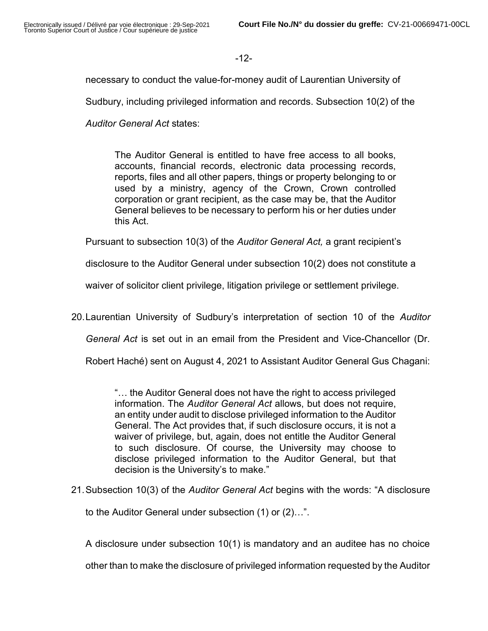## -12-

necessary to conduct the value-for-money audit of Laurentian University of

Sudbury, including privileged information and records. Subsection 10(2) of the

Auditor General Act states:

The Auditor General is entitled to have free access to all books, accounts, financial records, electronic data processing records, reports, files and all other papers, things or property belonging to or used by a ministry, agency of the Crown, Crown controlled corporation or grant recipient, as the case may be, that the Auditor General believes to be necessary to perform his or her duties under this Act.

Pursuant to subsection 10(3) of the *Auditor General Act*, a grant recipient's

disclosure to the Auditor General under subsection 10(2) does not constitute a

waiver of solicitor client privilege, litigation privilege or settlement privilege.

20. Laurentian University of Sudbury's interpretation of section 10 of the Auditor

General Act is set out in an email from the President and Vice-Chancellor (Dr.

Robert Haché) sent on August 4, 2021 to Assistant Auditor General Gus Chagani:

"… the Auditor General does not have the right to access privileged information. The Auditor General Act allows, but does not require, an entity under audit to disclose privileged information to the Auditor General. The Act provides that, if such disclosure occurs, it is not a waiver of privilege, but, again, does not entitle the Auditor General to such disclosure. Of course, the University may choose to disclose privileged information to the Auditor General, but that decision is the University's to make."

21. Subsection 10(3) of the Auditor General Act begins with the words: "A disclosure

to the Auditor General under subsection (1) or (2)…".

A disclosure under subsection 10(1) is mandatory and an auditee has no choice

other than to make the disclosure of privileged information requested by the Auditor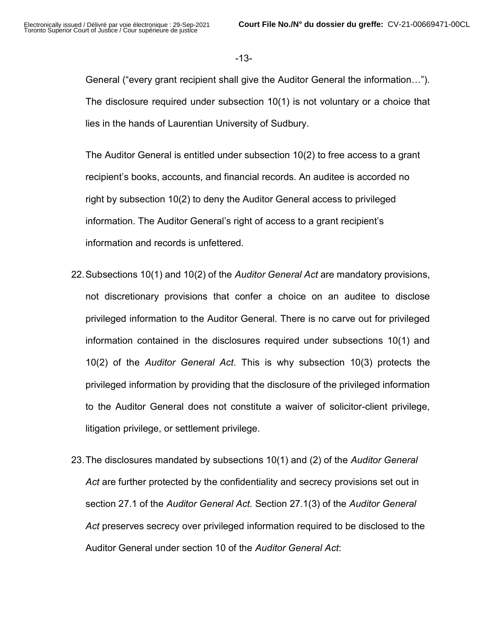-13-

General ("every grant recipient shall give the Auditor General the information…"). The disclosure required under subsection 10(1) is not voluntary or a choice that lies in the hands of Laurentian University of Sudbury.

The Auditor General is entitled under subsection 10(2) to free access to a grant recipient's books, accounts, and financial records. An auditee is accorded no right by subsection 10(2) to deny the Auditor General access to privileged information. The Auditor General's right of access to a grant recipient's information and records is unfettered.

- 22. Subsections 10(1) and 10(2) of the Auditor General Act are mandatory provisions, not discretionary provisions that confer a choice on an auditee to disclose privileged information to the Auditor General. There is no carve out for privileged information contained in the disclosures required under subsections 10(1) and 10(2) of the Auditor General Act. This is why subsection 10(3) protects the privileged information by providing that the disclosure of the privileged information to the Auditor General does not constitute a waiver of solicitor-client privilege, litigation privilege, or settlement privilege.
- 23. The disclosures mandated by subsections 10(1) and (2) of the Auditor General Act are further protected by the confidentiality and secrecy provisions set out in section 27.1 of the Auditor General Act. Section 27.1(3) of the Auditor General Act preserves secrecy over privileged information required to be disclosed to the Auditor General under section 10 of the Auditor General Act: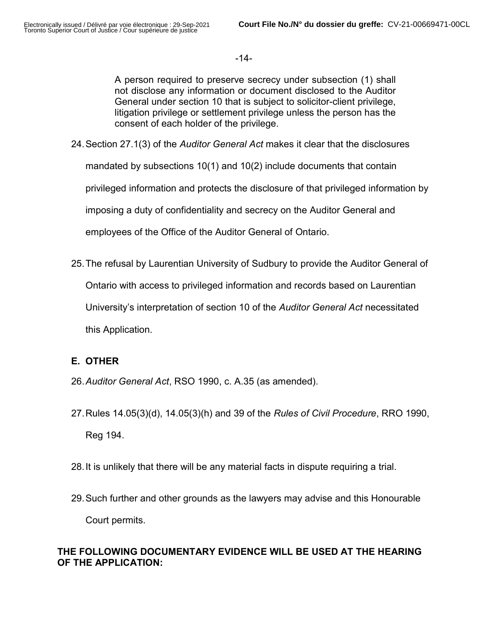-14-

A person required to preserve secrecy under subsection (1) shall not disclose any information or document disclosed to the Auditor General under section 10 that is subject to solicitor-client privilege, litigation privilege or settlement privilege unless the person has the consent of each holder of the privilege.

- 24. Section 27.1(3) of the Auditor General Act makes it clear that the disclosures mandated by subsections 10(1) and 10(2) include documents that contain privileged information and protects the disclosure of that privileged information by imposing a duty of confidentiality and secrecy on the Auditor General and employees of the Office of the Auditor General of Ontario.
- 25. The refusal by Laurentian University of Sudbury to provide the Auditor General of Ontario with access to privileged information and records based on Laurentian University's interpretation of section 10 of the Auditor General Act necessitated this Application.

# E. OTHER

- 26. Auditor General Act, RSO 1990, c. A.35 (as amended).
- 27. Rules 14.05(3)(d), 14.05(3)(h) and 39 of the Rules of Civil Procedure, RRO 1990, Reg 194.
- 28. It is unlikely that there will be any material facts in dispute requiring a trial.
- 29. Such further and other grounds as the lawyers may advise and this Honourable Court permits.

# THE FOLLOWING DOCUMENTARY EVIDENCE WILL BE USED AT THE HEARING OF THE APPLICATION: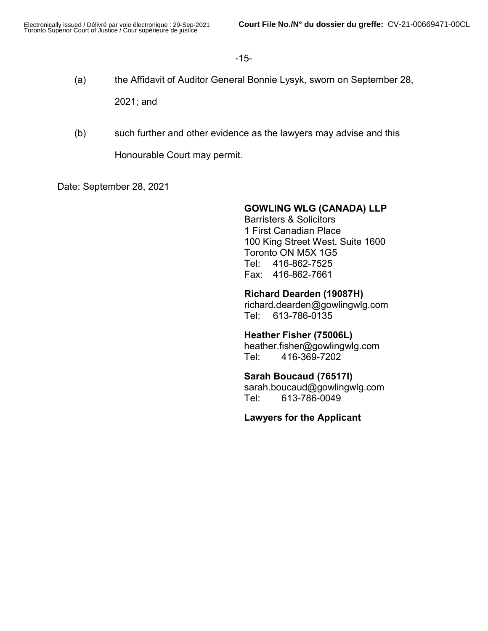### -15-

(a) the Affidavit of Auditor General Bonnie Lysyk, sworn on September 28,

2021; and

(b) such further and other evidence as the lawyers may advise and this

Honourable Court may permit.

Date: September 28, 2021

### GOWLING WLG (CANADA) LLP

Barristers & Solicitors 1 First Canadian Place 100 King Street West, Suite 1600 Toronto ON M5X 1G5 Tel: 416-862-7525 Fax: 416-862-7661

### Richard Dearden (19087H)

richard.dearden@gowlingwlg.com Tel: 613-786-0135

Heather Fisher (75006L) heather.fisher@gowlingwlg.com Tel: 416-369-7202

### Sarah Boucaud (76517I)

sarah.boucaud@gowlingwlg.com Tel: 613-786-0049

Lawyers for the Applicant